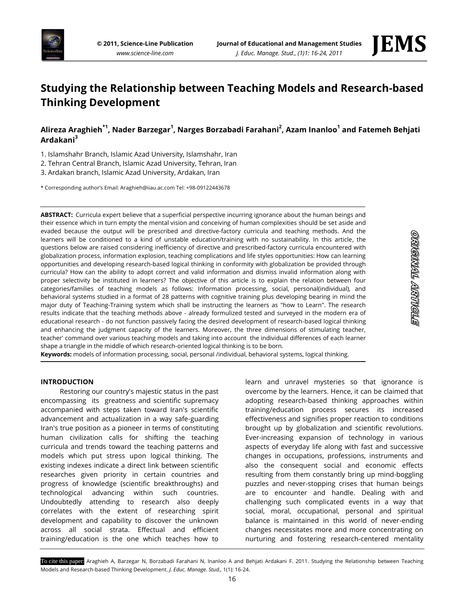



<u>etaginia arribuele</u>

# **Studying the Relationship between Teaching Models and Research-based Thinking Development**

## **Alireza Araghieh\*1 , Nader Barzegar<sup>1</sup> , Narges Borzabadi Farahani<sup>2</sup> , Azam Inanloo<sup>1</sup> and Fatemeh Behjati Ardakani<sup>3</sup>**

1. Islamshahr Branch, Islamic Azad University, Islamshahr, Iran

2. Tehran Central Branch, Islamic Azad University, Tehran, Iran

3. Ardakan branch, Islamic Azad University, Ardakan, Iran

\* Corresponding author's Email: Araghieh@iiau.ac.com Tel: +98-09122443678

**ABSTRACT:** Curricula expert believe that a superficial perspective incurring ignorance about the human beings and their essence which in turn empty the mental vision and conceiving of human complexities should be set aside and evaded because the output will be prescribed and directive-factory curricula and teaching methods. And the learners will be conditioned to a kind of unstable education/training with no sustainability. In this article, the questions below are raised considering inefficiency of directive and prescribed-factory curricula encountered with globalization process, information explosion, teaching complications and life styles opportunities: How can learning opportunities and developing research-based logical thinking in conformity with globalization be provided through curricula? How can the ability to adopt correct and valid information and dismiss invalid information along with proper selectivity be instituted in learners? The objective of this article is to explain the relation between four categories/families of teaching models as follows: Information processing, social, personal(individual), and behavioral systems studied in a format of 28 patterns with cognitive training plus developing bearing in mind the major duty of Teaching-Training system which shall be instructing the learners as "how to Learn". The research results indicate that the teaching methods above - already formulized tested and surveyed in the modern era of educational research - do not function passively facing the desired development of research-based logical thinking and enhancing the judgment capacity of the learners. Moreover, the three dimensions of stimulating teacher, teacher' command over various teaching models and taking into account the individual differences of each learner shape a triangle in the middle of which research-oriented logical thinking is to be born.

**Keywords:** models of information processing, social, personal /individual, behavioral systems, logical thinking.

#### **INTRODUCTION**

Restoring our country's majestic status in the past encompassing its greatness and scientific supremacy accompanied with steps taken toward Iran's scientific advancement and actualization in a way safe-guarding Iran's true position as a pioneer in terms of constituting human civilization calls for shifting the teaching curricula and trends toward the teaching patterns and models which put stress upon logical thinking. The existing indexes indicate a direct link between scientific researches given priority in certain countries and progress of knowledge (scientific breakthroughs) and technological advancing within such countries. Undoubtedly attending to research also deeply correlates with the extent of researching spirit development and capability to discover the unknown across all social strata. Effectual and efficient training/education is the one which teaches how to

learn and unravel mysteries so that ignorance is overcome by the learners. Hence, it can be claimed that adopting research-based thinking approaches within training/education process secures its increased effectiveness and signifies proper reaction to conditions brought up by globalization and scientific revolutions. Ever-increasing expansion of technology in various aspects of everyday life along with fast and successive changes in occupations, professions, instruments and also the consequent social and economic effects resulting from them constantly bring up mind-boggling puzzles and never-stopping crises that human beings are to encounter and handle. Dealing with and challenging such complicated events in a way that social, moral, occupational, personal and spiritual balance is maintained in this world of never-ending changes necessitates more and more concentrating on nurturing and fostering research-centered mentality

To cite this paper: Araghieh A, Barzegar N, Borzabadi Farahani N, Inanloo A and Behjati Ardakani F. 2011. Studying the Relationship between Teaching Models and Research-based Thinking Development. *J. Educ. Manage. Stud.,* 1(1): 16-24.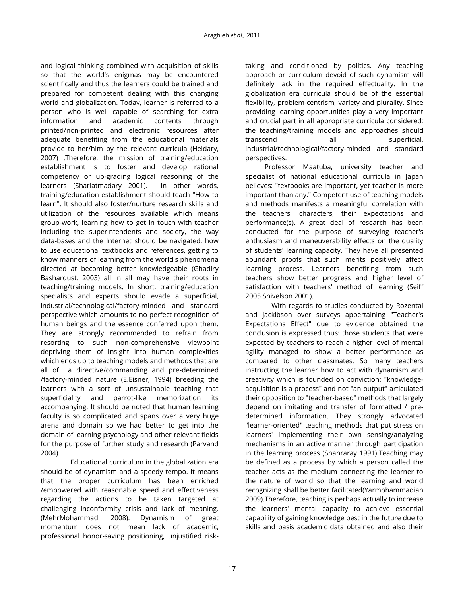and logical thinking combined with acquisition of skills so that the world's enigmas may be encountered scientifically and thus the learners could be trained and prepared for competent dealing with this changing world and globalization. Today, learner is referred to a person who is well capable of searching for extra information and academic contents through printed/non-printed and electronic resources after adequate benefiting from the educational materials provide to her/him by the relevant curricula (Heidary, 2007) .Therefore, the mission of training/education establishment is to foster and develop rational competency or up-grading logical reasoning of the learners (Shariatmadary 2001). In other words, training/education establishment should teach "How to learn". It should also foster/nurture research skills and utilization of the resources available which means group-work, learning how to get in touch with teacher including the superintendents and society, the way data-bases and the Internet should be navigated, how to use educational textbooks and references, getting to know manners of learning from the world's phenomena directed at becoming better knowledgeable (Ghadiry Bashardust, 2003) all in all may have their roots in teaching/training models. In short, training/education specialists and experts should evade a superficial, industrial/technological/factory-minded and standard perspective which amounts to no perfect recognition of human beings and the essence conferred upon them. They are strongly recommended to refrain from resorting to such non-comprehensive viewpoint depriving them of insight into human complexities which ends up to teaching models and methods that are all of a directive/commanding and pre-determined /factory-minded nature (E.Eisner, 1994) breeding the learners with a sort of unsustainable teaching that superficiality and parrot-like memorization its accompanying. It should be noted that human learning faculty is so complicated and spans over a very huge arena and domain so we had better to get into the domain of learning psychology and other relevant fields for the purpose of further study and research (Parvand 2004).

 Educational curriculum in the globalization era should be of dynamism and a speedy tempo. It means that the proper curriculum has been enriched /empowered with reasonable speed and effectiveness regarding the actions to be taken targeted at challenging inconformity crisis and lack of meaning. (MehrMohammadi 2008). Dynamism of great momentum does not mean lack of academic, professional honor-saving positioning, unjustified risktaking and conditioned by politics. Any teaching approach or curriculum devoid of such dynamism will definitely lack in the required effectuality. In the globalization era curricula should be of the essential flexibility, problem-centrism, variety and plurality. Since providing learning opportunities play a very important and crucial part in all appropriate curricula considered; the teaching/training models and approaches should transcend all superficial, industrial/technological/factory-minded and standard perspectives.

Professor Maatuba, university teacher and specialist of national educational curricula in Japan believes: "textbooks are important, yet teacher is more important than any." Competent use of teaching models and methods manifests a meaningful correlation with the teachers' characters, their expectations and performance(s). A great deal of research has been conducted for the purpose of surveying teacher's enthusiasm and maneuverability effects on the quality of students' learning capacity. They have all presented abundant proofs that such merits positively affect learning process. Learners benefiting from such teachers show better progress and higher level of satisfaction with teachers' method of learning (Seiff 2005 Shivelson 2001).

 With regards to studies conducted by Rozental and jackibson over surveys appertaining "Teacher's Expectations Effect" due to evidence obtained the conclusion is expressed thus: those students that were expected by teachers to reach a higher level of mental agility managed to show a better performance as compared to other classmates. So many teachers instructing the learner how to act with dynamism and creativity which is founded on conviction: "knowledgeacquisition is a process" and not "an output" articulated their opposition to "teacher-based" methods that largely depend on imitating and transfer of formatted / predetermined information. They strongly advocated "learner-oriented" teaching methods that put stress on learners' implementing their own sensing/analyzing mechanisms in an active manner through participation in the learning process (Shahraray 1991).Teaching may be defined as a process by which a person called the teacher acts as the medium connecting the learner to the nature of world so that the learning and world recognizing shall be better facilitated(Yarmohammadian 2009).Therefore, teaching is perhaps actually to increase the learners' mental capacity to achieve essential capability of gaining knowledge best in the future due to skills and basis academic data obtained and also their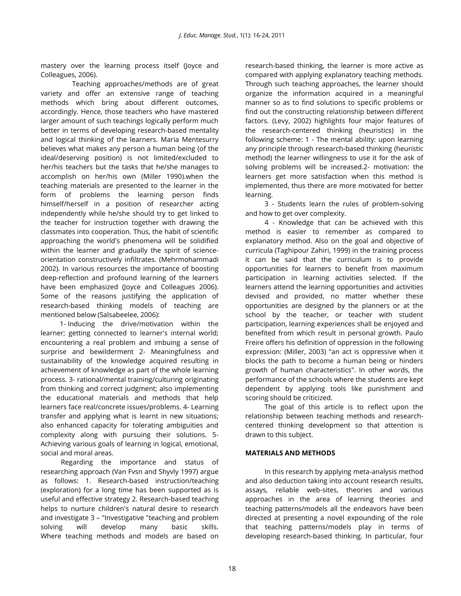mastery over the learning process itself (Joyce and Colleagues, 2006).

 Teaching approaches/methods are of great variety and offer an extensive range of teaching methods which bring about different outcomes, accordingly. Hence, those teachers who have mastered larger amount of such teachings logically perform much better in terms of developing research-based mentality and logical thinking of the learners. Maria Mentesurry believes what makes any person a human being (of the ideal/deserving position) is not limited/excluded to her/his teachers but the tasks that he/she manages to accomplish on her/his own (Miller 1990).when the teaching materials are presented to the learner in the form of problems the learning person finds himself/herself in a position of researcher acting independently while he/she should try to get linked to the teacher for instruction together with drawing the classmates into cooperation. Thus, the habit of scientific approaching the world's phenomena will be solidified within the learner and gradually the spirit of scienceorientation constructively infiltrates. (Mehrmohammadi 2002). In various resources the importance of boosting deep-reflection and profound learning of the learners have been emphasized (Joyce and Colleagues 2006). Some of the reasons justifying the application of research-based thinking models of teaching are mentioned below (Salsabeelee, 2006):

1- Inducing the drive/motivation within the learner; getting connected to learner's internal world; encountering a real problem and imbuing a sense of surprise and bewilderment 2- Meaningfulness and sustainability of the knowledge acquired resulting in achievement of knowledge as part of the whole learning process. 3- rational/mental training/culturing originating from thinking and correct judgment; also implementing the educational materials and methods that help learners face real/concrete issues/problems. 4- Learning transfer and applying what is learnt in new situations; also enhanced capacity for tolerating ambiguities and complexity along with pursuing their solutions. 5- Achieving various goals of learning in logical, emotional, social and moral areas.

Regarding the importance and status of researching approach (Van Fvsn and Shyvly 1997) argue as follows: 1. Research-based instruction/teaching (exploration) for a long time has been supported as is useful and effective strategy 2. Research-based teaching helps to nurture children's natural desire to research and investigate 3 – "Investigative "teaching and problem solving will develop many basic skills. Where teaching methods and models are based on

research-based thinking, the learner is more active as compared with applying explanatory teaching methods. Through such teaching approaches, the learner should organize the information acquired in a meaningful manner so as to find solutions to specific problems or find out the constructing relationship between different factors. (Levy, 2002) highlights four major features of the research-centered thinking (heuristics) in the following scheme: 1 - The mental ability: upon learning any principle through research-based thinking (heuristic method) the learner willingness to use it for the ask of solving problems will be increased.2- motivation: the learners get more satisfaction when this method is implemented, thus there are more motivated for better learning.

3 - Students learn the rules of problem-solving and how to get over complexity.

4 - Knowledge that can be achieved with this method is easier to remember as compared to explanatory method. Also on the goal and objective of curricula (Taghipour Zahiri, 1999) in the training process it can be said that the curriculum is to provide opportunities for learners to benefit from maximum participation in learning activities selected. If the learners attend the learning opportunities and activities devised and provided, no matter whether these opportunities are designed by the planners or at the school by the teacher, or teacher with student participation, learning experiences shall be enjoyed and benefited from which result in personal growth. Paulo Freire offers his definition of oppression in the following expression: (Miller, 2003) "an act is oppressive when it blocks the path to become a human being or hinders growth of human characteristics". In other words, the performance of the schools where the students are kept dependent by applying tools like punishment and scoring should be criticized.

The goal of this article is to reflect upon the relationship between teaching methods and researchcentered thinking development so that attention is drawn to this subject.

### **MATERIALS AND METHODS**

In this research by applying meta-analysis method and also deduction taking into account research results, assays, reliable web-sites, theories and various approaches in the area of learning theories and teaching patterns/models all the endeavors have been directed at presenting a novel expounding of the role that teaching patterns/models play in terms of developing research-based thinking. In particular, four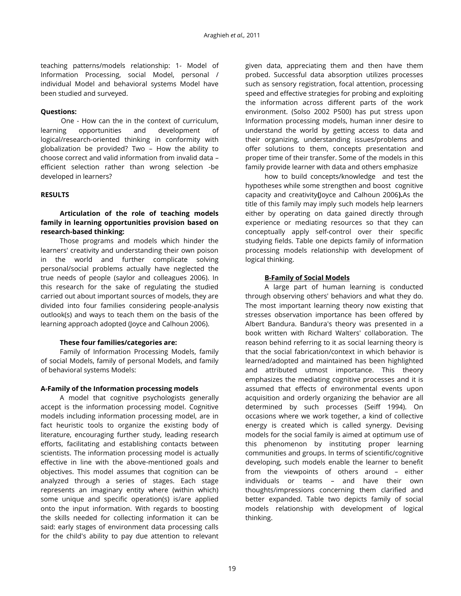teaching patterns/models relationship: 1- Model of Information Processing, social Model, personal / individual Model and behavioral systems Model have been studied and surveyed.

## **Questions:**

One - How can the in the context of curriculum, learning opportunities and development of logical/research-oriented thinking in conformity with globalization be provided? Two – How the ability to choose correct and valid information from invalid data – efficient selection rather than wrong selection -be developed in learners?

### **RESULTS**

## **Articulation of the role of teaching models family in learning opportunities provision based on research-based thinking:**

Those programs and models which hinder the learners' creativity and understanding their own poison in the world and further complicate solving personal/social problems actually have neglected the true needs of people (saylor and colleagues 2006). In this research for the sake of regulating the studied carried out about important sources of models, they are divided into four families considering people-analysis outlook(s) and ways to teach them on the basis of the learning approach adopted (Joyce and Calhoun 2006).

### **These four families/categories are:**

Family of Information Processing Models, family of social Models, family of personal Models, and family of behavioral systems Models:

## **A-Family of the Information processing models**

A model that cognitive psychologists generally accept is the information processing model. Cognitive models including information processing model, are in fact heuristic tools to organize the existing body of literature, encouraging further study, leading research efforts, facilitating and establishing contacts between scientists. The information processing model is actually effective in line with the above-mentioned goals and objectives. This model assumes that cognition can be analyzed through a series of stages. Each stage represents an imaginary entity where (within which) some unique and specific operation(s) is/are applied onto the input information. With regards to boosting the skills needed for collecting information it can be said: early stages of environment data processing calls for the child's ability to pay due attention to relevant given data, appreciating them and then have them probed. Successful data absorption utilizes processes such as sensory registration, focal attention, processing speed and effective strategies for probing and exploiting the information across different parts of the work environment. (Solso 2002 P500) has put stress upon Information processing models, human inner desire to understand the world by getting access to data and their organizing, understanding issues/problems and offer solutions to them, concepts presentation and proper time of their transfer. Some of the models in this family provide learner with data and others emphasize

how to build concepts/knowledge and test the hypotheses while some strengthen and boost cognitive capacity and creativity**(**Joyce and Calhoun 2006**).**As the title of this family may imply such models help learners either by operating on data gained directly through experience or mediating resources so that they can conceptually apply self-control over their specific studying fields. Table one depicts family of information processing models relationship with development of logical thinking.

## **B-Family of Social Models**

A large part of human learning is conducted through observing others' behaviors and what they do. The most important learning theory now existing that stresses observation importance has been offered by Albert Bandura. Bandura's theory was presented in a book written with Richard Walters' collaboration. The reason behind referring to it as social learning theory is that the social fabrication/context in which behavior is learned/adopted and maintained has been highlighted and attributed utmost importance. This theory emphasizes the mediating cognitive processes and it is assumed that effects of environmental events upon acquisition and orderly organizing the behavior are all determined by such processes (Seiff 1994). On occasions where we work together, a kind of collective energy is created which is called synergy. Devising models for the social family is aimed at optimum use of this phenomenon by instituting proper learning communities and groups. In terms of scientific/cognitive developing, such models enable the learner to benefit from the viewpoints of others around – either individuals or teams – and have their own thoughts/impressions concerning them clarified and better expanded. Table two depicts family of social models relationship with development of logical thinking.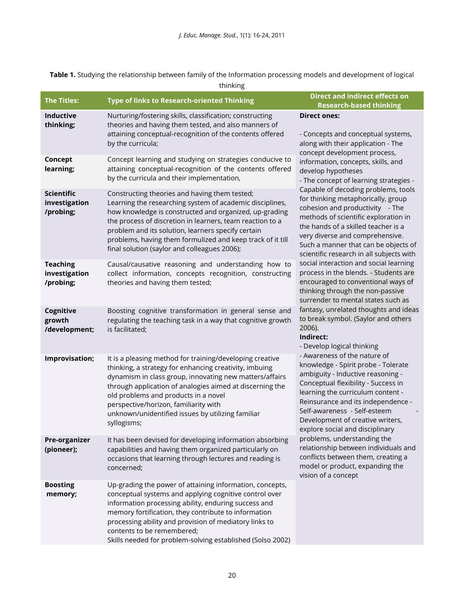**Table 1.** Studying the relationship between family of the Information processing models and development of logical

| <b>The Titles:</b>                              | <b>Type of links to Research-oriented Thinking</b>                                                                                                                                                                                                                                                                                                                                                   | <b>Direct and indirect effects on</b><br><b>Research-based thinking</b>                                                                                                                                                                                                                                                                                                                                                                                                                                                                                                                                                                                                                                                                                                                                                                                                                                                                                                                                                                                                                                                                                                                                                                                                                                      |
|-------------------------------------------------|------------------------------------------------------------------------------------------------------------------------------------------------------------------------------------------------------------------------------------------------------------------------------------------------------------------------------------------------------------------------------------------------------|--------------------------------------------------------------------------------------------------------------------------------------------------------------------------------------------------------------------------------------------------------------------------------------------------------------------------------------------------------------------------------------------------------------------------------------------------------------------------------------------------------------------------------------------------------------------------------------------------------------------------------------------------------------------------------------------------------------------------------------------------------------------------------------------------------------------------------------------------------------------------------------------------------------------------------------------------------------------------------------------------------------------------------------------------------------------------------------------------------------------------------------------------------------------------------------------------------------------------------------------------------------------------------------------------------------|
| Inductive<br>thinking;                          | Nurturing/fostering skills, classification; constructing<br>theories and having them tested, and also manners of<br>attaining conceptual-recognition of the contents offered<br>by the curricula;                                                                                                                                                                                                    | <b>Direct ones:</b><br>- Concepts and conceptual systems,<br>along with their application - The                                                                                                                                                                                                                                                                                                                                                                                                                                                                                                                                                                                                                                                                                                                                                                                                                                                                                                                                                                                                                                                                                                                                                                                                              |
| Concept<br>learning;                            | Concept learning and studying on strategies conducive to<br>attaining conceptual-recognition of the contents offered<br>by the curricula and their implementation,                                                                                                                                                                                                                                   | concept development process,<br>information, concepts, skills, and<br>develop hypotheses<br>- The concept of learning strategies -<br>Capable of decoding problems, tools<br>for thinking metaphorically, group<br>cohesion and productivity - The<br>methods of scientific exploration in<br>the hands of a skilled teacher is a<br>very diverse and comprehensive.<br>Such a manner that can be objects of<br>scientific research in all subjects with<br>social interaction and social learning<br>process in the blends. - Students are<br>encouraged to conventional ways of<br>thinking through the non-passive<br>surrender to mental states such as<br>fantasy, unrelated thoughts and ideas<br>to break symbol. (Saylor and others<br>2006).<br>Indirect:<br>- Develop logical thinking<br>- Awareness of the nature of<br>knowledge - Spirit probe - Tolerate<br>ambiguity - Inductive reasoning -<br>Conceptual flexibility - Success in<br>learning the curriculum content -<br>Reinsurance and its independence -<br>Self-awareness - Self-esteem<br>Development of creative writers,<br>explore social and disciplinary<br>problems, understanding the<br>relationship between individuals and<br>conflicts between them, creating a<br>model or product, expanding the<br>vision of a concept |
| <b>Scientific</b><br>investigation<br>/probing; | Constructing theories and having them tested;<br>Learning the researching system of academic disciplines,<br>how knowledge is constructed and organized, up-grading<br>the process of discretion in learners, team reaction to a<br>problem and its solution, learners specify certain<br>problems, having them formulized and keep track of it till<br>final solution (saylor and colleagues 2006); |                                                                                                                                                                                                                                                                                                                                                                                                                                                                                                                                                                                                                                                                                                                                                                                                                                                                                                                                                                                                                                                                                                                                                                                                                                                                                                              |
| <b>Teaching</b><br>investigation<br>/probing;   | Causal/causative reasoning and understanding how to<br>collect information, concepts recognition, constructing<br>theories and having them tested;                                                                                                                                                                                                                                                   |                                                                                                                                                                                                                                                                                                                                                                                                                                                                                                                                                                                                                                                                                                                                                                                                                                                                                                                                                                                                                                                                                                                                                                                                                                                                                                              |
| Cognitive<br>growth<br>/development;            | Boosting cognitive transformation in general sense and<br>regulating the teaching task in a way that cognitive growth<br>is facilitated;                                                                                                                                                                                                                                                             |                                                                                                                                                                                                                                                                                                                                                                                                                                                                                                                                                                                                                                                                                                                                                                                                                                                                                                                                                                                                                                                                                                                                                                                                                                                                                                              |
| Improvisation;                                  | It is a pleasing method for training/developing creative<br>thinking, a strategy for enhancing creativity, imbuing<br>dynamism in class group, innovating new matters/affairs<br>through application of analogies aimed at discerning the<br>old problems and products in a novel<br>perspective/horizon, familiarity with<br>unknown/unidentified issues by utilizing familiar<br>syllogisms;       |                                                                                                                                                                                                                                                                                                                                                                                                                                                                                                                                                                                                                                                                                                                                                                                                                                                                                                                                                                                                                                                                                                                                                                                                                                                                                                              |
| Pre-organizer<br>(pioneer);                     | It has been devised for developing information absorbing<br>capabilities and having them organized particularly on<br>occasions that learning through lectures and reading is<br>concerned;                                                                                                                                                                                                          |                                                                                                                                                                                                                                                                                                                                                                                                                                                                                                                                                                                                                                                                                                                                                                                                                                                                                                                                                                                                                                                                                                                                                                                                                                                                                                              |
| <b>Boosting</b><br>memory;                      | Up-grading the power of attaining information, concepts,<br>conceptual systems and applying cognitive control over<br>information processing ability, enduring success and<br>memory fortification, they contribute to information<br>processing ability and provision of mediatory links to<br>contents to be remembered;                                                                           |                                                                                                                                                                                                                                                                                                                                                                                                                                                                                                                                                                                                                                                                                                                                                                                                                                                                                                                                                                                                                                                                                                                                                                                                                                                                                                              |

Skills needed for problem-solving established (Solso 2002)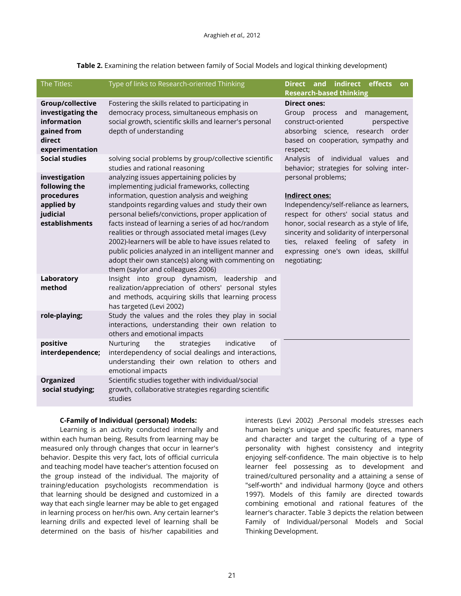| The Titles:                                                                                      | Type of links to Research-oriented Thinking                                                                                                                                                                                                                                                                                                                                                                                                                                                                                                                                   | Direct and indirect effects<br><b>on</b><br><b>Research-based thinking</b>                                                                                                                                                                                                                                               |
|--------------------------------------------------------------------------------------------------|-------------------------------------------------------------------------------------------------------------------------------------------------------------------------------------------------------------------------------------------------------------------------------------------------------------------------------------------------------------------------------------------------------------------------------------------------------------------------------------------------------------------------------------------------------------------------------|--------------------------------------------------------------------------------------------------------------------------------------------------------------------------------------------------------------------------------------------------------------------------------------------------------------------------|
| Group/collective<br>investigating the<br>information<br>gained from<br>direct<br>experimentation | Fostering the skills related to participating in<br>democracy process, simultaneous emphasis on<br>social growth, scientific skills and learner's personal<br>depth of understanding                                                                                                                                                                                                                                                                                                                                                                                          | <b>Direct ones:</b><br>Group process and<br>management,<br>construct-oriented<br>perspective<br>absorbing science, research order<br>based on cooperation, sympathy and<br>respect;                                                                                                                                      |
| <b>Social studies</b>                                                                            | solving social problems by group/collective scientific<br>studies and rational reasoning                                                                                                                                                                                                                                                                                                                                                                                                                                                                                      | Analysis of individual values and<br>behavior; strategies for solving inter-                                                                                                                                                                                                                                             |
| investigation<br>following the<br>procedures<br>applied by<br>judicial<br>establishments         | analyzing issues appertaining policies by<br>implementing judicial frameworks, collecting<br>information, question analysis and weighing<br>standpoints regarding values and study their own<br>personal beliefs/convictions, proper application of<br>facts instead of learning a series of ad hoc/random<br>realities or through associated metal images (Levy<br>2002)-learners will be able to have issues related to<br>public policies analyzed in an intelligent manner and<br>adopt their own stance(s) along with commenting on<br>them (saylor and colleagues 2006) | personal problems;<br><b>Indirect ones:</b><br>Independency/self-reliance as learners,<br>respect for others' social status and<br>honor, social research as a style of life,<br>sincerity and solidarity of interpersonal<br>ties, relaxed feeling of safety in<br>expressing one's own ideas, skillful<br>negotiating; |
| Laboratory<br>method                                                                             | Insight into group dynamism, leadership and<br>realization/appreciation of others' personal styles<br>and methods, acquiring skills that learning process<br>has targeted (Levi 2002)                                                                                                                                                                                                                                                                                                                                                                                         |                                                                                                                                                                                                                                                                                                                          |
| role-playing;                                                                                    | Study the values and the roles they play in social<br>interactions, understanding their own relation to<br>others and emotional impacts                                                                                                                                                                                                                                                                                                                                                                                                                                       |                                                                                                                                                                                                                                                                                                                          |
| positive<br>interdependence;                                                                     | the<br>strategies<br>indicative<br>of<br><b>Nurturing</b><br>interdependency of social dealings and interactions,<br>understanding their own relation to others and<br>emotional impacts                                                                                                                                                                                                                                                                                                                                                                                      |                                                                                                                                                                                                                                                                                                                          |
| Organized<br>social studying;                                                                    | Scientific studies together with individual/social<br>growth, collaborative strategies regarding scientific<br>studies                                                                                                                                                                                                                                                                                                                                                                                                                                                        |                                                                                                                                                                                                                                                                                                                          |

**Table 2.** Examining the relation between family of Social Models and logical thinking development)

### **C-Family of Individual (personal) Models:**

Learning is an activity conducted internally and within each human being. Results from learning may be measured only through changes that occur in learner's behavior. Despite this very fact, lots of official curricula and teaching model have teacher's attention focused on the group instead of the individual. The majority of training/education psychologists recommendation is that learning should be designed and customized in a way that each single learner may be able to get engaged in learning process on her/his own. Any certain learner's learning drills and expected level of learning shall be determined on the basis of his/her capabilities and

interests (Levi 2002) .Personal models stresses each human being's unique and specific features, manners and character and target the culturing of a type of personality with highest consistency and integrity enjoying self-confidence. The main objective is to help learner feel possessing as to development and trained/cultured personality and a attaining a sense of "self-worth" and individual harmony (Joyce and others 1997). Models of this family are directed towards combining emotional and rational features of the learner's character. Table 3 depicts the relation between Family of Individual/personal Models and Social Thinking Development.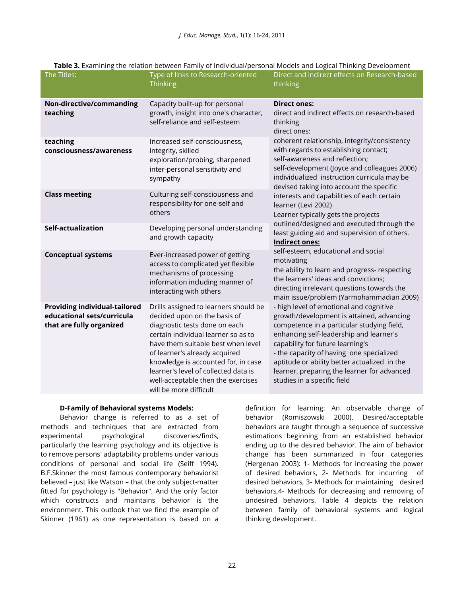| The Titles:                                                                                    | Type of links to Research-oriented<br><b>Thinking</b>                                                                                                                                                                                                                                                                                                               | Direct and indirect effects on Research-based<br>thinking                                                                                                                                                                                                                                                                                                                                   |  |
|------------------------------------------------------------------------------------------------|---------------------------------------------------------------------------------------------------------------------------------------------------------------------------------------------------------------------------------------------------------------------------------------------------------------------------------------------------------------------|---------------------------------------------------------------------------------------------------------------------------------------------------------------------------------------------------------------------------------------------------------------------------------------------------------------------------------------------------------------------------------------------|--|
| Non-directive/commanding<br>teaching                                                           | Capacity built-up for personal<br>growth, insight into one's character,<br>self-reliance and self-esteem                                                                                                                                                                                                                                                            | <b>Direct ones:</b><br>direct and indirect effects on research-based<br>thinking<br>direct ones:                                                                                                                                                                                                                                                                                            |  |
| teaching<br>consciousness/awareness                                                            | Increased self-consciousness,<br>integrity, skilled<br>exploration/probing, sharpened<br>inter-personal sensitivity and<br>sympathy                                                                                                                                                                                                                                 | coherent relationship, integrity/consistency<br>with regards to establishing contact;<br>self-awareness and reflection;<br>self-development (Joyce and colleagues 2006)<br>individualized instruction curricula may be<br>devised taking into account the specific                                                                                                                          |  |
| <b>Class meeting</b>                                                                           | Culturing self-consciousness and<br>responsibility for one-self and<br>others                                                                                                                                                                                                                                                                                       | interests and capabilities of each certain<br>learner (Levi 2002)<br>Learner typically gets the projects                                                                                                                                                                                                                                                                                    |  |
| Self-actualization                                                                             | Developing personal understanding<br>and growth capacity                                                                                                                                                                                                                                                                                                            | outlined/designed and executed through the<br>least guiding aid and supervision of others.<br><b>Indirect ones:</b><br>self-esteem, educational and social<br>motivating<br>the ability to learn and progress- respecting<br>the learners' ideas and convictions;<br>directing irrelevant questions towards the<br>main issue/problem (Yarmohammadian 2009)                                 |  |
| <b>Conceptual systems</b>                                                                      | Ever-increased power of getting<br>access to complicated yet flexible<br>mechanisms of processing<br>information including manner of<br>interacting with others                                                                                                                                                                                                     |                                                                                                                                                                                                                                                                                                                                                                                             |  |
| <b>Providing individual-tailored</b><br>educational sets/curricula<br>that are fully organized | Drills assigned to learners should be<br>decided upon on the basis of<br>diagnostic tests done on each<br>certain individual learner so as to<br>have them suitable best when level<br>of learner's already acquired<br>knowledge is accounted for, in case<br>learner's level of collected data is<br>well-acceptable then the exercises<br>will be more difficult | - high level of emotional and cognitive<br>growth/development is attained, advancing<br>competence in a particular studying field,<br>enhancing self-leadership and learner's<br>capability for future learning's<br>- the capacity of having one specialized<br>aptitude or ability better actualized in the<br>learner, preparing the learner for advanced<br>studies in a specific field |  |

## **Table 3.** Examining the relation between Family of Individual/personal Models and Logical Thinking Development

### **D-Family of Behavioral systems Models:**

Behavior change is referred to as a set of methods and techniques that are extracted from experimental psychological discoveries/finds, particularly the learning psychology and its objective is to remove persons' adaptability problems under various conditions of personal and social life (Seiff 1994). B.F.Skinner the most famous contemporary behaviorist believed – just like Watson – that the only subject-matter fitted for psychology is "Behavior". And the only factor which constructs and maintains behavior is the environment. This outlook that we find the example of Skinner (1961) as one representation is based on a

definition for learning: An observable change of behavior (Romiszowski 2000). Desired/acceptable behaviors are taught through a sequence of successive estimations beginning from an established behavior ending up to the desired behavior. The aim of behavior change has been summarized in four categories (Hergenan 2003): 1- Methods for increasing the power of desired behaviors, 2- Methods for incurring of desired behaviors, 3- Methods for maintaining desired behaviors,4- Methods for decreasing and removing of undesired behaviors. Table 4 depicts the relation between family of behavioral systems and logical thinking development.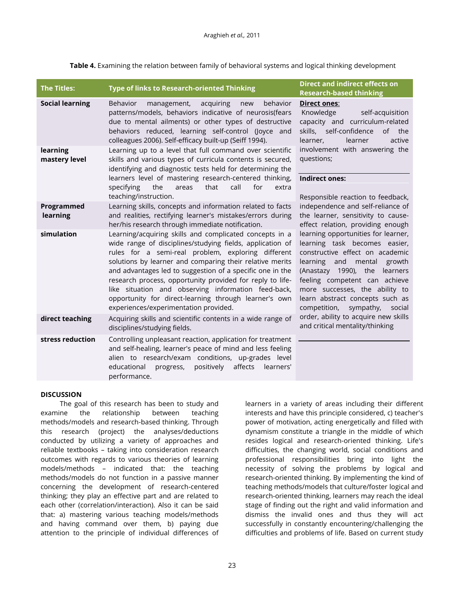**Table 4.** Examining the relation between family of behavioral systems and logical thinking development

| <b>The Titles:</b>        | <b>Type of links to Research-oriented Thinking</b>                                                                                                                                                                                                                                                                                                                                                                                                                                                                        | <b>Direct and indirect effects on</b><br><b>Research-based thinking</b>                                                                                                                                                                                                                                                                                                                                                                                                                                                                                                                                                                                                                                                                                                                             |
|---------------------------|---------------------------------------------------------------------------------------------------------------------------------------------------------------------------------------------------------------------------------------------------------------------------------------------------------------------------------------------------------------------------------------------------------------------------------------------------------------------------------------------------------------------------|-----------------------------------------------------------------------------------------------------------------------------------------------------------------------------------------------------------------------------------------------------------------------------------------------------------------------------------------------------------------------------------------------------------------------------------------------------------------------------------------------------------------------------------------------------------------------------------------------------------------------------------------------------------------------------------------------------------------------------------------------------------------------------------------------------|
| <b>Social learning</b>    | acquiring<br>behavior<br><b>Behavior</b><br>management,<br>new<br>patterns/models, behaviors indicative of neurosis(fears<br>due to mental ailments) or other types of destructive<br>behaviors reduced, learning self-control (Joyce and<br>colleagues 2006). Self-efficacy built-up (Seiff 1994).                                                                                                                                                                                                                       | <b>Direct ones:</b><br>Knowledge<br>self-acquisition<br>capacity and curriculum-related<br>self-confidence<br>skills,<br>of the<br>active<br>learner,<br>learner<br>involvement with answering the<br>questions;<br><b>Indirect ones:</b><br>Responsible reaction to feedback,<br>independence and self-reliance of<br>the learner, sensitivity to cause-<br>effect relation, providing enough<br>learning opportunities for learner,<br>learning task becomes easier,<br>constructive effect on academic<br>learning and mental<br>growth<br>(Anastazy 1990), the learners<br>feeling competent can achieve<br>more successes, the ability to<br>learn abstract concepts such as<br>sympathy,<br>competition,<br>social<br>order, ability to acquire new skills<br>and critical mentality/thinking |
| learning<br>mastery level | Learning up to a level that full command over scientific<br>skills and various types of curricula contents is secured,<br>identifying and diagnostic tests held for determining the<br>learners level of mastering research-centered thinking,<br>that<br>call<br>for<br>the<br>specifying<br>areas<br>extra<br>teaching/instruction.                                                                                                                                                                                     |                                                                                                                                                                                                                                                                                                                                                                                                                                                                                                                                                                                                                                                                                                                                                                                                     |
| Programmed<br>learning    | Learning skills, concepts and information related to facts<br>and realities, rectifying learner's mistakes/errors during<br>her/his research through immediate notification.                                                                                                                                                                                                                                                                                                                                              |                                                                                                                                                                                                                                                                                                                                                                                                                                                                                                                                                                                                                                                                                                                                                                                                     |
| simulation                | Learning/acquiring skills and complicated concepts in a<br>wide range of disciplines/studying fields, application of<br>rules for a semi-real problem, exploring different<br>solutions by learner and comparing their relative merits<br>and advantages led to suggestion of a specific one in the<br>research process, opportunity provided for reply to life-<br>like situation and observing information feed-back,<br>opportunity for direct-learning through learner's own<br>experiences/experimentation provided. |                                                                                                                                                                                                                                                                                                                                                                                                                                                                                                                                                                                                                                                                                                                                                                                                     |
| direct teaching           | Acquiring skills and scientific contents in a wide range of<br>disciplines/studying fields.                                                                                                                                                                                                                                                                                                                                                                                                                               |                                                                                                                                                                                                                                                                                                                                                                                                                                                                                                                                                                                                                                                                                                                                                                                                     |
| stress reduction          | Controlling unpleasant reaction, application for treatment<br>and self-healing, learner's peace of mind and less feeling<br>alien to research/exam conditions, up-grades level<br>educational<br>progress, positively<br>affects<br>learners'<br>performance.                                                                                                                                                                                                                                                             |                                                                                                                                                                                                                                                                                                                                                                                                                                                                                                                                                                                                                                                                                                                                                                                                     |

### **DISCUSSION**

The goal of this research has been to study and examine the relationship between teaching methods/models and research-based thinking. Through this research (project) the analyses/deductions conducted by utilizing a variety of approaches and reliable textbooks – taking into consideration research outcomes with regards to various theories of learning models/methods – indicated that: the teaching methods/models do not function in a passive manner concerning the development of research-centered thinking; they play an effective part and are related to each other (correlation/interaction). Also it can be said that: a) mastering various teaching models/methods and having command over them, b) paying due attention to the principle of individual differences of

learners in a variety of areas including their different interests and have this principle considered, c) teacher's power of motivation, acting energetically and filled with dynamism constitute a triangle in the middle of which resides logical and research-oriented thinking. Life's difficulties, the changing world, social conditions and professional responsibilities bring into light the necessity of solving the problems by logical and research-oriented thinking. By implementing the kind of teaching methods/models that culture/foster logical and research-oriented thinking, learners may reach the ideal stage of finding out the right and valid information and dismiss the invalid ones and thus they will act successfully in constantly encountering/challenging the difficulties and problems of life. Based on current study